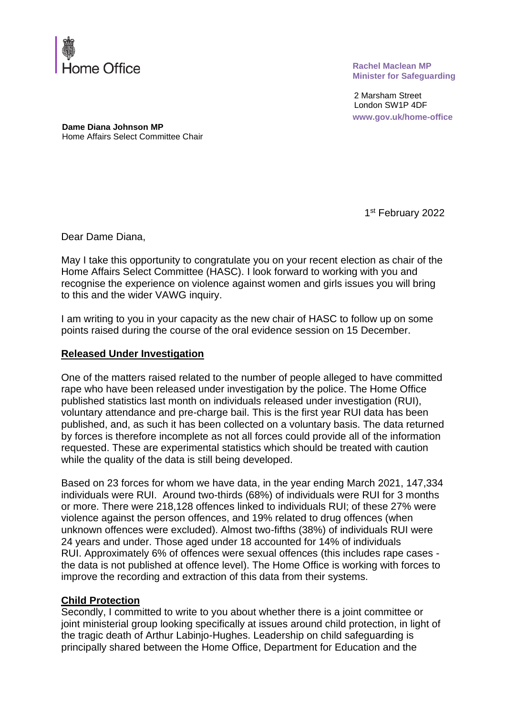

**Rachel Maclean MP Minister for Safeguarding**

2 Marsham Street London SW1P 4DF **www.gov.uk/home-office**

**Dame Diana Johnson MP** Home Affairs Select Committee Chair

1st February 2022

Dear Dame Diana,

May I take this opportunity to congratulate you on your recent election as chair of the Home Affairs Select Committee (HASC). I look forward to working with you and recognise the experience on violence against women and girls issues you will bring to this and the wider VAWG inquiry.

I am writing to you in your capacity as the new chair of HASC to follow up on some points raised during the course of the oral evidence session on 15 December.

#### **Released Under Investigation**

One of the matters raised related to the number of people alleged to have committed rape who have been released under investigation by the police. The Home Office published statistics last month on individuals released under investigation (RUI), voluntary attendance and pre-charge bail. This is the first year RUI data has been published, and, as such it has been collected on a voluntary basis. The data returned by forces is therefore incomplete as not all forces could provide all of the information requested. These are experimental statistics which should be treated with caution while the quality of the data is still being developed.

Based on 23 forces for whom we have data, in the year ending March 2021, 147,334 individuals were RUI. Around two-thirds (68%) of individuals were RUI for 3 months or more. There were 218,128 offences linked to individuals RUI; of these 27% were violence against the person offences, and 19% related to drug offences (when unknown offences were excluded). Almost two-fifths (38%) of individuals RUI were 24 years and under. Those aged under 18 accounted for 14% of individuals RUI. Approximately 6% of offences were sexual offences (this includes rape cases the data is not published at offence level). The Home Office is working with forces to improve the recording and extraction of this data from their systems.

#### **Child Protection**

Secondly, I committed to write to you about whether there is a joint committee or joint ministerial group looking specifically at issues around child protection, in light of the tragic death of Arthur Labinjo-Hughes. Leadership on child safeguarding is principally shared between the Home Office, Department for Education and the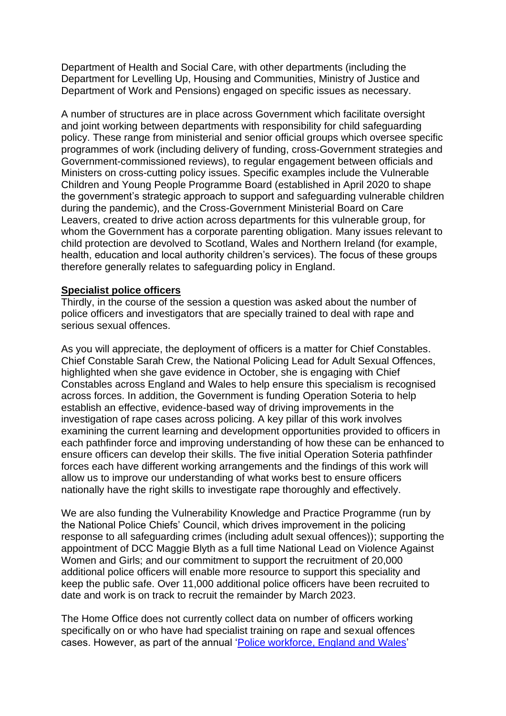Department of Health and Social Care, with other departments (including the Department for Levelling Up, Housing and Communities, Ministry of Justice and Department of Work and Pensions) engaged on specific issues as necessary.

A number of structures are in place across Government which facilitate oversight and joint working between departments with responsibility for child safeguarding policy. These range from ministerial and senior official groups which oversee specific programmes of work (including delivery of funding, cross-Government strategies and Government-commissioned reviews), to regular engagement between officials and Ministers on cross-cutting policy issues. Specific examples include the Vulnerable Children and Young People Programme Board (established in April 2020 to shape the government's strategic approach to support and safeguarding vulnerable children during the pandemic), and the Cross-Government Ministerial Board on Care Leavers, created to drive action across departments for this vulnerable group, for whom the Government has a corporate parenting obligation. Many issues relevant to child protection are devolved to Scotland, Wales and Northern Ireland (for example, health, education and local authority children's services). The focus of these groups therefore generally relates to safeguarding policy in England.

#### **Specialist police officers**

Thirdly, in the course of the session a question was asked about the number of police officers and investigators that are specially trained to deal with rape and serious sexual offences.

As you will appreciate, the deployment of officers is a matter for Chief Constables. Chief Constable Sarah Crew, the National Policing Lead for Adult Sexual Offences, highlighted when she gave evidence in October, she is engaging with Chief Constables across England and Wales to help ensure this specialism is recognised across forces. In addition, the Government is funding Operation Soteria to help establish an effective, evidence-based way of driving improvements in the investigation of rape cases across policing. A key pillar of this work involves examining the current learning and development opportunities provided to officers in each pathfinder force and improving understanding of how these can be enhanced to ensure officers can develop their skills. The five initial Operation Soteria pathfinder forces each have different working arrangements and the findings of this work will allow us to improve our understanding of what works best to ensure officers nationally have the right skills to investigate rape thoroughly and effectively.

We are also funding the Vulnerability Knowledge and Practice Programme (run by the National Police Chiefs' Council, which drives improvement in the policing response to all safeguarding crimes (including adult sexual offences)); supporting the appointment of DCC Maggie Blyth as a full time National Lead on Violence Against Women and Girls; and our commitment to support the recruitment of 20,000 additional police officers will enable more resource to support this speciality and keep the public safe. Over 11,000 additional police officers have been recruited to date and work is on track to recruit the remainder by March 2023.

The Home Office does not currently collect data on number of officers working specifically on or who have had specialist training on rape and sexual offences cases. However, as part of the annual ['Police workforce, England and Wales'](https://gbr01.safelinks.protection.outlook.com/?url=https%3A%2F%2Fwww.gov.uk%2Fgovernment%2Fcollections%2Fpolice-workforce-england-and-wales&data=04%7C01%7CLena.Goodfellow5%40homeoffice.gov.uk%7C23e15e5479204010060008d9a82cb660%7Cf24d93ecb2914192a08af182245945c2%7C0%7C0%7C637725732247717841%7CUnknown%7CTWFpbGZsb3d8eyJWIjoiMC4wLjAwMDAiLCJQIjoiV2luMzIiLCJBTiI6Ik1haWwiLCJXVCI6Mn0%3D%7C3000&sdata=RqrxOMmY4rlAMCflCrVjDYLxh8Lk9zK4JkmXsV5cj8A%3D&reserved=0)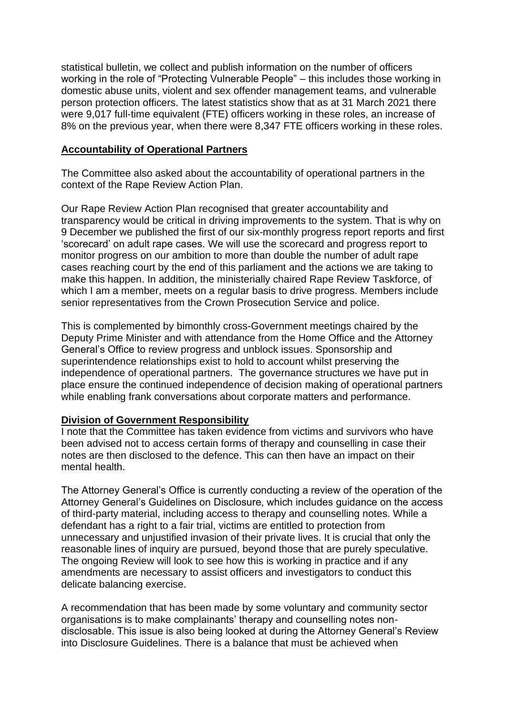statistical bulletin, we collect and publish information on the number of officers working in the role of "Protecting Vulnerable People" – this includes those working in domestic abuse units, violent and sex offender management teams, and vulnerable person protection officers. The latest statistics show that as at 31 March 2021 there were 9,017 full-time equivalent (FTE) officers working in these roles, an increase of 8% on the previous year, when there were 8,347 FTE officers working in these roles.

## **Accountability of Operational Partners**

The Committee also asked about the accountability of operational partners in the context of the Rape Review Action Plan.

Our Rape Review Action Plan recognised that greater accountability and transparency would be critical in driving improvements to the system. That is why on 9 December we published the first of our six-monthly progress report reports and first 'scorecard' on adult rape cases. We will use the scorecard and progress report to monitor progress on our ambition to more than double the number of adult rape cases reaching court by the end of this parliament and the actions we are taking to make this happen. In addition, the ministerially chaired Rape Review Taskforce, of which I am a member, meets on a regular basis to drive progress. Members include senior representatives from the Crown Prosecution Service and police.

This is complemented by bimonthly cross-Government meetings chaired by the Deputy Prime Minister and with attendance from the Home Office and the Attorney General's Office to review progress and unblock issues. Sponsorship and superintendence relationships exist to hold to account whilst preserving the independence of operational partners. The governance structures we have put in place ensure the continued independence of decision making of operational partners while enabling frank conversations about corporate matters and performance.

## **Division of Government Responsibility**

I note that the Committee has taken evidence from victims and survivors who have been advised not to access certain forms of therapy and counselling in case their notes are then disclosed to the defence. This can then have an impact on their mental health.

The Attorney General's Office is currently conducting a review of the operation of the Attorney General's Guidelines on Disclosure, which includes guidance on the access of third-party material, including access to therapy and counselling notes. While a defendant has a right to a fair trial, victims are entitled to protection from unnecessary and unjustified invasion of their private lives. It is crucial that only the reasonable lines of inquiry are pursued, beyond those that are purely speculative. The ongoing Review will look to see how this is working in practice and if any amendments are necessary to assist officers and investigators to conduct this delicate balancing exercise.

A recommendation that has been made by some voluntary and community sector organisations is to make complainants' therapy and counselling notes nondisclosable. This issue is also being looked at during the Attorney General's Review into Disclosure Guidelines. There is a balance that must be achieved when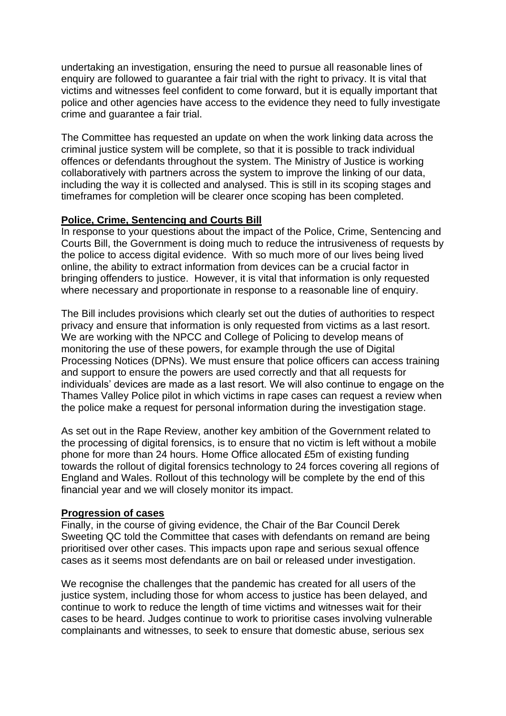undertaking an investigation, ensuring the need to pursue all reasonable lines of enquiry are followed to guarantee a fair trial with the right to privacy. It is vital that victims and witnesses feel confident to come forward, but it is equally important that police and other agencies have access to the evidence they need to fully investigate crime and guarantee a fair trial.

The Committee has requested an update on when the work linking data across the criminal justice system will be complete, so that it is possible to track individual offences or defendants throughout the system. The Ministry of Justice is working collaboratively with partners across the system to improve the linking of our data, including the way it is collected and analysed. This is still in its scoping stages and timeframes for completion will be clearer once scoping has been completed.

# **Police, Crime, Sentencing and Courts Bill**

In response to your questions about the impact of the Police, Crime, Sentencing and Courts Bill, the Government is doing much to reduce the intrusiveness of requests by the police to access digital evidence. With so much more of our lives being lived online, the ability to extract information from devices can be a crucial factor in bringing offenders to justice. However, it is vital that information is only requested where necessary and proportionate in response to a reasonable line of enquiry.

The Bill includes provisions which clearly set out the duties of authorities to respect privacy and ensure that information is only requested from victims as a last resort. We are working with the NPCC and College of Policing to develop means of monitoring the use of these powers, for example through the use of Digital Processing Notices (DPNs). We must ensure that police officers can access training and support to ensure the powers are used correctly and that all requests for individuals' devices are made as a last resort. We will also continue to engage on the Thames Valley Police pilot in which victims in rape cases can request a review when the police make a request for personal information during the investigation stage.

As set out in the Rape Review, another key ambition of the Government related to the processing of digital forensics, is to ensure that no victim is left without a mobile phone for more than 24 hours. Home Office allocated £5m of existing funding towards the rollout of digital forensics technology to 24 forces covering all regions of England and Wales. Rollout of this technology will be complete by the end of this financial year and we will closely monitor its impact.

## **Progression of cases**

Finally, in the course of giving evidence, the Chair of the Bar Council Derek Sweeting QC told the Committee that cases with defendants on remand are being prioritised over other cases. This impacts upon rape and serious sexual offence cases as it seems most defendants are on bail or released under investigation.

We recognise the challenges that the pandemic has created for all users of the justice system, including those for whom access to justice has been delayed, and continue to work to reduce the length of time victims and witnesses wait for their cases to be heard. Judges continue to work to prioritise cases involving vulnerable complainants and witnesses, to seek to ensure that domestic abuse, serious sex